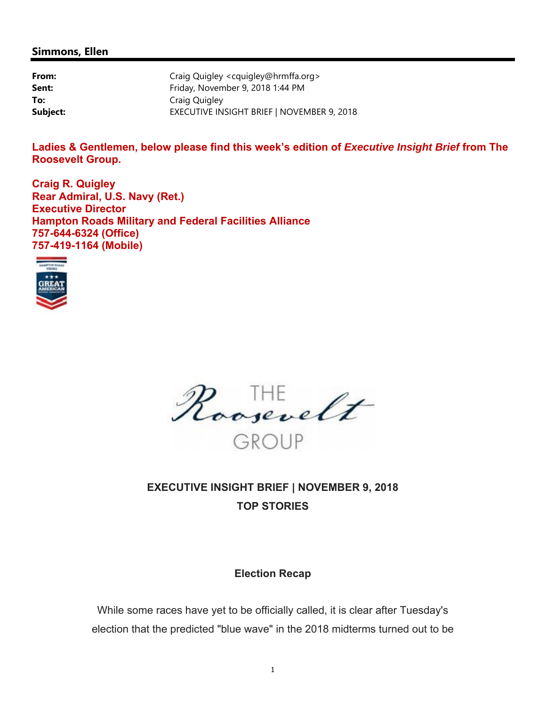#### **Simmons, Ellen**

| From:    | Craig Quigley <cquigley@hrmffa.org></cquigley@hrmffa.org> |
|----------|-----------------------------------------------------------|
| Sent:    | Friday, November 9, 2018 1:44 PM                          |
| To:      | Craig Quigley                                             |
| Subject: | EXECUTIVE INSIGHT BRIEF   NOVEMBER 9, 2018                |

Ladies & Gentlemen, below please find this week's edition of *Executive Insight Brief* from The **Roosevelt Group.** 

**Craig R. Quigley Rear Admiral, U.S. Navy (Ret.) Executive Director Hampton Roads Military and Federal Facilities Alliance 757-644-6324 (Office) 757-419-1164 (Mobile)** 



Roosevelt

# **EXECUTIVE INSIGHT BRIEF | NOVEMBER 9, 2018 TOP STORIES**

#### **Election Recap**

While some races have yet to be officially called, it is clear after Tuesday's election that the predicted "blue wave" in the 2018 midterms turned out to be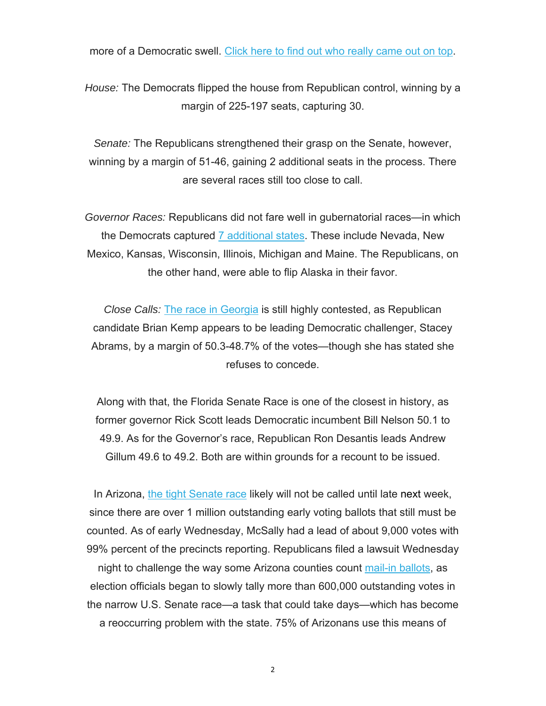more of a Democratic swell. Click here to find out who really came out on top.

*House:* The Democrats flipped the house from Republican control, winning by a margin of 225-197 seats, capturing 30.

*Senate:* The Republicans strengthened their grasp on the Senate, however, winning by a margin of 51-46, gaining 2 additional seats in the process. There are several races still too close to call.

*Governor Races:* Republicans did not fare well in gubernatorial races—in which the Democrats captured 7 additional states. These include Nevada, New Mexico, Kansas, Wisconsin, Illinois, Michigan and Maine. The Republicans, on the other hand, were able to flip Alaska in their favor.

*Close Calls:* The race in Georgia is still highly contested, as Republican candidate Brian Kemp appears to be leading Democratic challenger, Stacey Abrams, by a margin of 50.3-48.7% of the votes—though she has stated she refuses to concede.

Along with that, the Florida Senate Race is one of the closest in history, as former governor Rick Scott leads Democratic incumbent Bill Nelson 50.1 to 49.9. As for the Governor's race, Republican Ron Desantis leads Andrew Gillum 49.6 to 49.2. Both are within grounds for a recount to be issued.

In Arizona, the tight Senate race likely will not be called until late next week, since there are over 1 million outstanding early voting ballots that still must be counted. As of early Wednesday, McSally had a lead of about 9,000 votes with 99% percent of the precincts reporting. Republicans filed a lawsuit Wednesday

night to challenge the way some Arizona counties count mail-in ballots, as election officials began to slowly tally more than 600,000 outstanding votes in the narrow U.S. Senate race—a task that could take days—which has become a reoccurring problem with the state. 75% of Arizonans use this means of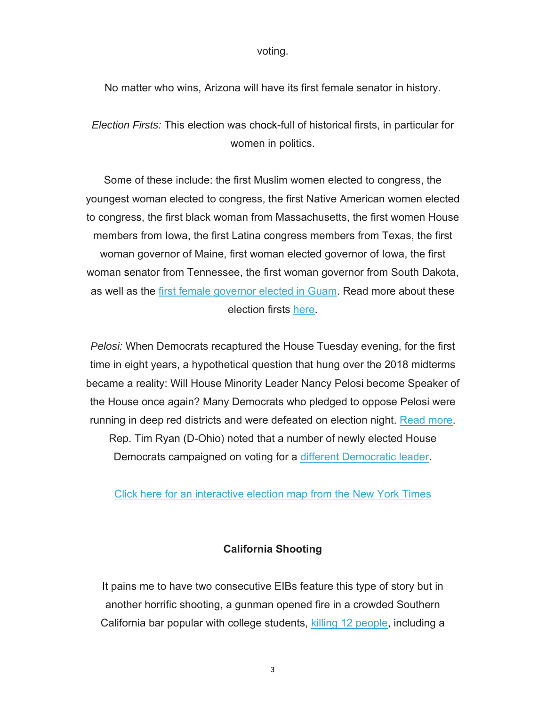voting.

No matter who wins, Arizona will have its first female senator in history.

*Election Firsts:* This election was chock-full of historical firsts, in particular for women in politics.

Some of these include: the first Muslim women elected to congress, the youngest woman elected to congress, the first Native American women elected to congress, the first black woman from Massachusetts, the first women House members from Iowa, the first Latina congress members from Texas, the first woman governor of Maine, first woman elected governor of Iowa, the first woman senator from Tennessee, the first woman governor from South Dakota, as well as the first female governor elected in Guam. Read more about these election firsts here.

*Pelosi:* When Democrats recaptured the House Tuesday evening, for the first time in eight years, a hypothetical question that hung over the 2018 midterms became a reality: Will House Minority Leader Nancy Pelosi become Speaker of the House once again? Many Democrats who pledged to oppose Pelosi were running in deep red districts and were defeated on election night. Read more.

Rep. Tim Ryan (D-Ohio) noted that a number of newly elected House Democrats campaigned on voting for a different Democratic leader.

Click here for an interactive election map from the New York Times

#### **California Shooting**

It pains me to have two consecutive EIBs feature this type of story but in another horrific shooting, a gunman opened fire in a crowded Southern California bar popular with college students, killing 12 people, including a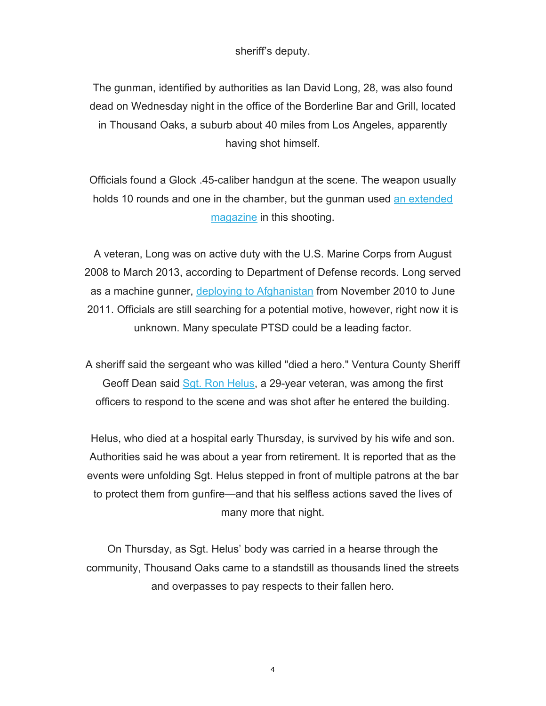sheriff's deputy.

The gunman, identified by authorities as Ian David Long, 28, was also found dead on Wednesday night in the office of the Borderline Bar and Grill, located in Thousand Oaks, a suburb about 40 miles from Los Angeles, apparently having shot himself.

Officials found a Glock .45-caliber handgun at the scene. The weapon usually holds 10 rounds and one in the chamber, but the gunman used an extended magazine in this shooting.

A veteran, Long was on active duty with the U.S. Marine Corps from August 2008 to March 2013, according to Department of Defense records. Long served as a machine gunner, deploying to Afghanistan from November 2010 to June 2011. Officials are still searching for a potential motive, however, right now it is unknown. Many speculate PTSD could be a leading factor.

A sheriff said the sergeant who was killed "died a hero." Ventura County Sheriff Geoff Dean said Sgt. Ron Helus, a 29-year veteran, was among the first officers to respond to the scene and was shot after he entered the building.

Helus, who died at a hospital early Thursday, is survived by his wife and son. Authorities said he was about a year from retirement. It is reported that as the events were unfolding Sgt. Helus stepped in front of multiple patrons at the bar to protect them from gunfire—and that his selfless actions saved the lives of many more that night.

On Thursday, as Sgt. Helus' body was carried in a hearse through the community, Thousand Oaks came to a standstill as thousands lined the streets and overpasses to pay respects to their fallen hero.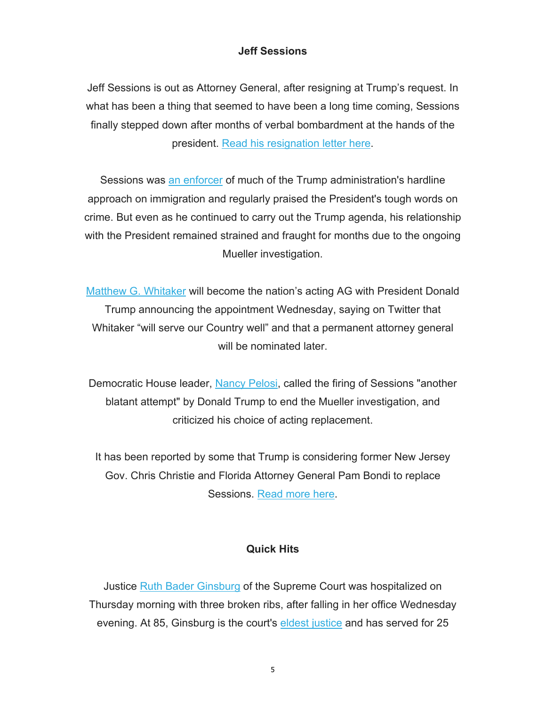## **Jeff Sessions**

Jeff Sessions is out as Attorney General, after resigning at Trump's request. In what has been a thing that seemed to have been a long time coming, Sessions finally stepped down after months of verbal bombardment at the hands of the president. Read his resignation letter here.

Sessions was an enforcer of much of the Trump administration's hardline approach on immigration and regularly praised the President's tough words on crime. But even as he continued to carry out the Trump agenda, his relationship with the President remained strained and fraught for months due to the ongoing Mueller investigation.

Matthew G. Whitaker will become the nation's acting AG with President Donald Trump announcing the appointment Wednesday, saying on Twitter that Whitaker "will serve our Country well" and that a permanent attorney general will be nominated later.

Democratic House leader, Nancy Pelosi, called the firing of Sessions "another blatant attempt" by Donald Trump to end the Mueller investigation, and criticized his choice of acting replacement.

It has been reported by some that Trump is considering former New Jersey Gov. Chris Christie and Florida Attorney General Pam Bondi to replace Sessions. Read more here.

#### **Quick Hits**

Justice Ruth Bader Ginsburg of the Supreme Court was hospitalized on Thursday morning with three broken ribs, after falling in her office Wednesday evening. At 85, Ginsburg is the court's eldest justice and has served for 25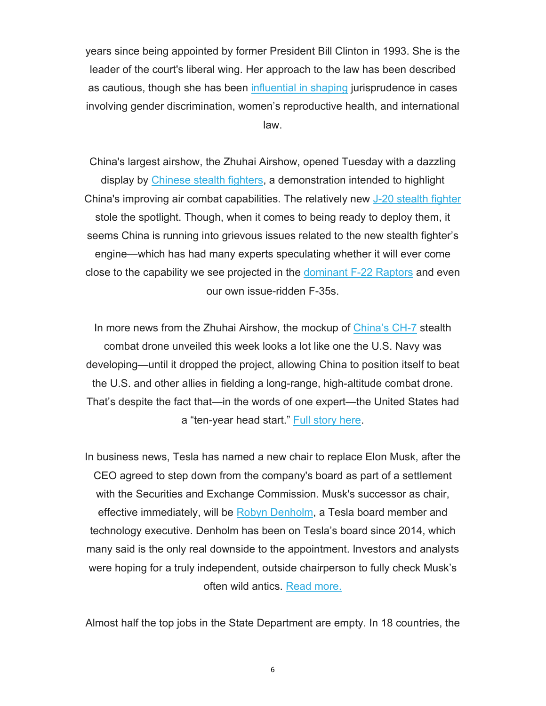years since being appointed by former President Bill Clinton in 1993. She is the leader of the court's liberal wing. Her approach to the law has been described as cautious, though she has been influential in shaping jurisprudence in cases involving gender discrimination, women's reproductive health, and international law.

China's largest airshow, the Zhuhai Airshow, opened Tuesday with a dazzling display by Chinese stealth fighters, a demonstration intended to highlight China's improving air combat capabilities. The relatively new J-20 stealth fighter stole the spotlight. Though, when it comes to being ready to deploy them, it seems China is running into grievous issues related to the new stealth fighter's engine—which has had many experts speculating whether it will ever come close to the capability we see projected in the dominant F-22 Raptors and even our own issue-ridden F-35s.

In more news from the Zhuhai Airshow, the mockup of China's CH-7 stealth combat drone unveiled this week looks a lot like one the U.S. Navy was developing—until it dropped the project, allowing China to position itself to beat the U.S. and other allies in fielding a long-range, high-altitude combat drone. That's despite the fact that—in the words of one expert—the United States had a "ten-year head start." Full story here.

In business news, Tesla has named a new chair to replace Elon Musk, after the CEO agreed to step down from the company's board as part of a settlement with the Securities and Exchange Commission. Musk's successor as chair, effective immediately, will be Robyn Denholm, a Tesla board member and technology executive. Denholm has been on Tesla's board since 2014, which many said is the only real downside to the appointment. Investors and analysts were hoping for a truly independent, outside chairperson to fully check Musk's often wild antics. Read more.

Almost half the top jobs in the State Department are empty. In 18 countries, the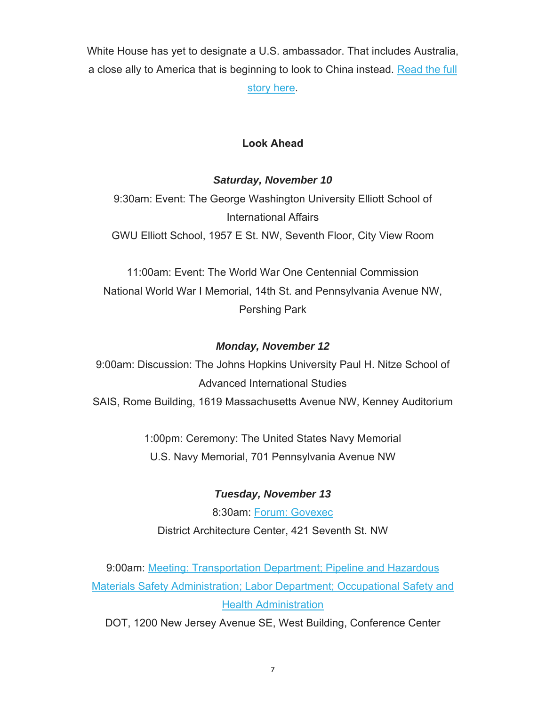White House has yet to designate a U.S. ambassador. That includes Australia, a close ally to America that is beginning to look to China instead. Read the full story here.

## **Look Ahead**

## *Saturday, November 10*

9:30am: Event: The George Washington University Elliott School of International Affairs

GWU Elliott School, 1957 E St. NW, Seventh Floor, City View Room

11:00am: Event: The World War One Centennial Commission National World War I Memorial, 14th St. and Pennsylvania Avenue NW, Pershing Park

## *Monday, November 12*

9:00am: Discussion: The Johns Hopkins University Paul H. Nitze School of Advanced International Studies SAIS, Rome Building, 1619 Massachusetts Avenue NW, Kenney Auditorium

1:00pm: Ceremony: The United States Navy Memorial U.S. Navy Memorial, 701 Pennsylvania Avenue NW

## *Tuesday, November 13*

8:30am: Forum: Govexec District Architecture Center, 421 Seventh St. NW

9:00am: Meeting: Transportation Department; Pipeline and Hazardous Materials Safety Administration; Labor Department; Occupational Safety and Health Administration

DOT, 1200 New Jersey Avenue SE, West Building, Conference Center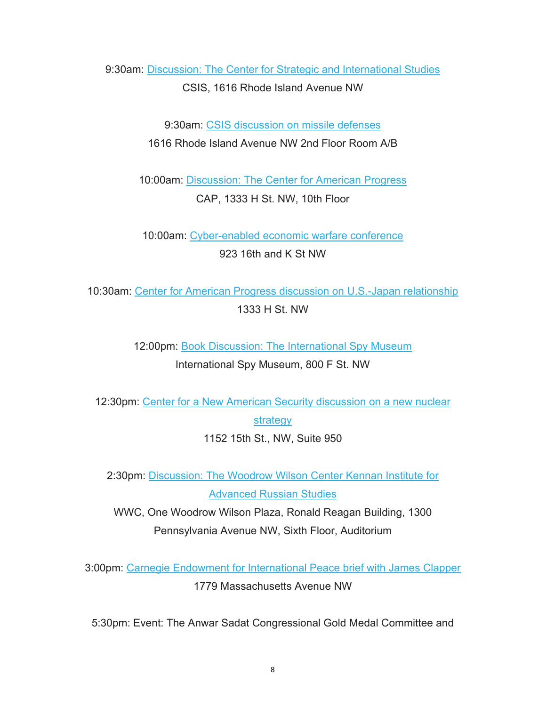9:30am: Discussion: The Center for Strategic and International Studies CSIS, 1616 Rhode Island Avenue NW

> 9:30am: CSIS discussion on missile defenses 1616 Rhode Island Avenue NW 2nd Floor Room A/B

10:00am: Discussion: The Center for American Progress CAP, 1333 H St. NW, 10th Floor

10:00am: Cyber-enabled economic warfare conference 923 16th and K St NW

10:30am: Center for American Progress discussion on U.S.-Japan relationship 1333 H St. NW

> 12:00pm: Book Discussion: The International Spy Museum International Spy Museum, 800 F St. NW

12:30pm: Center for a New American Security discussion on a new nuclear

strategy

1152 15th St., NW, Suite 950

2:30pm: Discussion: The Woodrow Wilson Center Kennan Institute for Advanced Russian Studies

WWC, One Woodrow Wilson Plaza, Ronald Reagan Building, 1300 Pennsylvania Avenue NW, Sixth Floor, Auditorium

3:00pm: Carnegie Endowment for International Peace brief with James Clapper 1779 Massachusetts Avenue NW

5:30pm: Event: The Anwar Sadat Congressional Gold Medal Committee and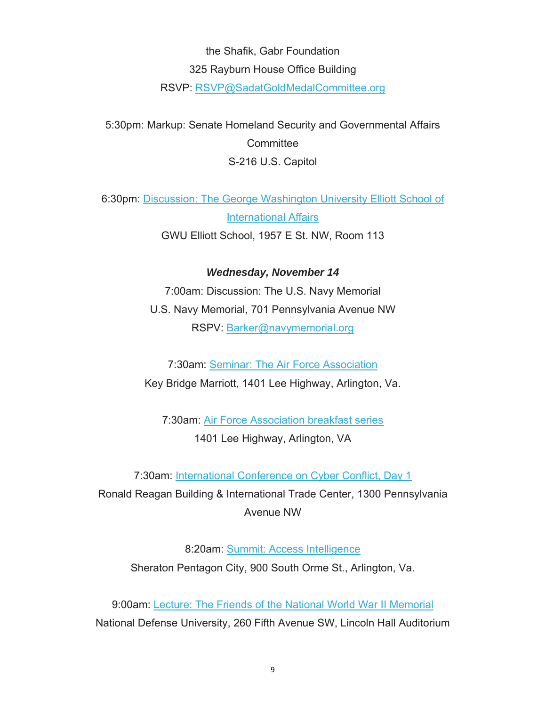## the Shafik, Gabr Foundation 325 Rayburn House Office Building

RSVP: RSVP@SadatGoldMedalCommittee.org

5:30pm: Markup: Senate Homeland Security and Governmental Affairs **Committee** S-216 U.S. Capitol

6:30pm: Discussion: The George Washington University Elliott School of International Affairs

GWU Elliott School, 1957 E St. NW, Room 113

*Wednesday, November 14* 7:00am: Discussion: The U.S. Navy Memorial U.S. Navy Memorial, 701 Pennsylvania Avenue NW

RSPV: Barker@navymemorial.org

7:30am: Seminar: The Air Force Association Key Bridge Marriott, 1401 Lee Highway, Arlington, Va.

7:30am: Air Force Association breakfast series 1401 Lee Highway, Arlington, VA

7:30am: International Conference on Cyber Conflict, Day 1 Ronald Reagan Building & International Trade Center, 1300 Pennsylvania Avenue NW

8:20am: Summit: Access Intelligence Sheraton Pentagon City, 900 South Orme St., Arlington, Va.

9:00am: Lecture: The Friends of the National World War II Memorial National Defense University, 260 Fifth Avenue SW, Lincoln Hall Auditorium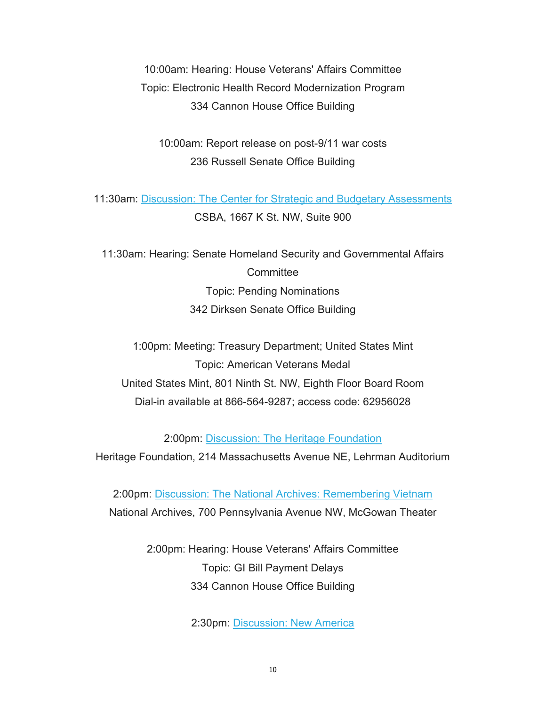10:00am: Hearing: House Veterans' Affairs Committee Topic: Electronic Health Record Modernization Program 334 Cannon House Office Building

10:00am: Report release on post-9/11 war costs 236 Russell Senate Office Building

11:30am: Discussion: The Center for Strategic and Budgetary Assessments CSBA, 1667 K St. NW, Suite 900

11:30am: Hearing: Senate Homeland Security and Governmental Affairs **Committee** Topic: Pending Nominations 342 Dirksen Senate Office Building

1:00pm: Meeting: Treasury Department; United States Mint Topic: American Veterans Medal United States Mint, 801 Ninth St. NW, Eighth Floor Board Room Dial-in available at 866-564-9287; access code: 62956028

2:00pm: Discussion: The Heritage Foundation

Heritage Foundation, 214 Massachusetts Avenue NE, Lehrman Auditorium

2:00pm: Discussion: The National Archives: Remembering Vietnam National Archives, 700 Pennsylvania Avenue NW, McGowan Theater

> 2:00pm: Hearing: House Veterans' Affairs Committee Topic: GI Bill Payment Delays 334 Cannon House Office Building

> > 2:30pm: Discussion: New America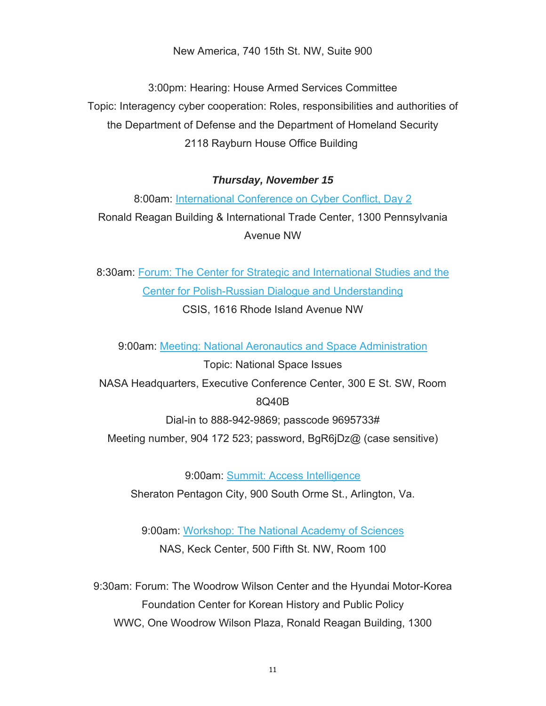New America, 740 15th St. NW, Suite 900

3:00pm: Hearing: House Armed Services Committee Topic: Interagency cyber cooperation: Roles, responsibilities and authorities of the Department of Defense and the Department of Homeland Security 2118 Rayburn House Office Building

### *Thursday, November 15*

8:00am: International Conference on Cyber Conflict, Day 2 Ronald Reagan Building & International Trade Center, 1300 Pennsylvania Avenue NW

8:30am: Forum: The Center for Strategic and International Studies and the Center for Polish-Russian Dialogue and Understanding CSIS, 1616 Rhode Island Avenue NW

9:00am: Meeting: National Aeronautics and Space Administration

Topic: National Space Issues NASA Headquarters, Executive Conference Center, 300 E St. SW, Room 8Q40B

Dial-in to 888-942-9869; passcode 9695733#

Meeting number, 904 172 523; password, BgR6jDz@ (case sensitive)

9:00am: Summit: Access Intelligence Sheraton Pentagon City, 900 South Orme St., Arlington, Va.

9:00am: Workshop: The National Academy of Sciences NAS, Keck Center, 500 Fifth St. NW, Room 100

9:30am: Forum: The Woodrow Wilson Center and the Hyundai Motor-Korea Foundation Center for Korean History and Public Policy WWC, One Woodrow Wilson Plaza, Ronald Reagan Building, 1300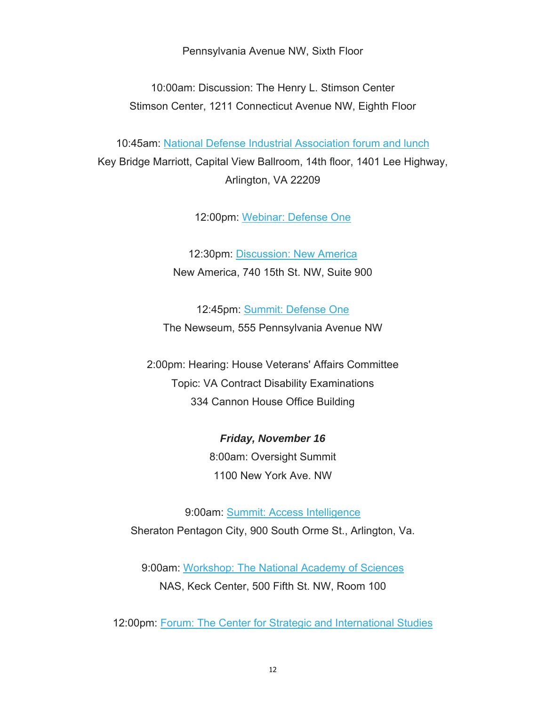Pennsylvania Avenue NW, Sixth Floor

10:00am: Discussion: The Henry L. Stimson Center Stimson Center, 1211 Connecticut Avenue NW, Eighth Floor

10:45am: National Defense Industrial Association forum and lunch Key Bridge Marriott, Capital View Ballroom, 14th floor, 1401 Lee Highway, Arlington, VA 22209

12:00pm: Webinar: Defense One

12:30pm: Discussion: New America New America, 740 15th St. NW, Suite 900

12:45pm: Summit: Defense One The Newseum, 555 Pennsylvania Avenue NW

2:00pm: Hearing: House Veterans' Affairs Committee Topic: VA Contract Disability Examinations 334 Cannon House Office Building

> *Friday, November 16* 8:00am: Oversight Summit 1100 New York Ave. NW

9:00am: Summit: Access Intelligence Sheraton Pentagon City, 900 South Orme St., Arlington, Va.

9:00am: Workshop: The National Academy of Sciences NAS, Keck Center, 500 Fifth St. NW, Room 100

12:00pm: Forum: The Center for Strategic and International Studies